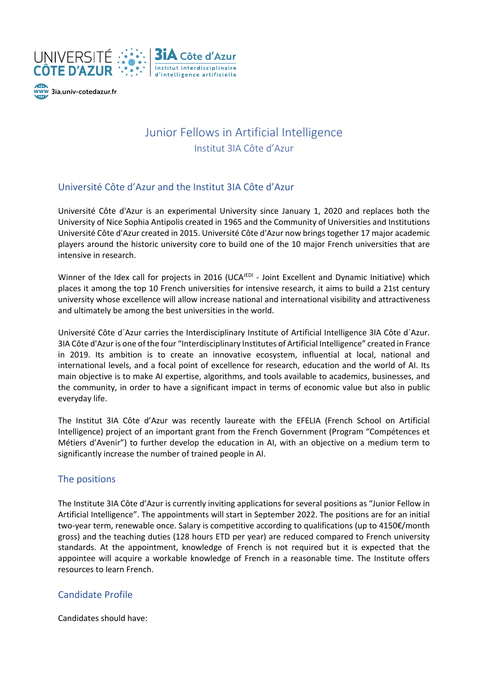



# Junior Fellows in Artificial Intelligence Institut 3IA Côte d'Azur

### Université Côte d'Azur and the Institut 3IA Côte d'Azur

Université Côte d'Azur is an experimental University since January 1, 2020 and replaces both the University of Nice Sophia Antipolis created in 1965 and the Community of Universities and Institutions Université Côte d'Azur created in 2015. Université Côte d'Azur now brings together 17 major academic players around the historic university core to build one of the 10 major French universities that are intensive in research.

Winner of the Idex call for projects in 2016 (UCA<sup>JEDI</sup> - Joint Excellent and Dynamic Initiative) which places it among the top 10 French universities for intensive research, it aims to build a 21st century university whose excellence will allow increase national and international visibility and attractiveness and ultimately be among the best universities in the world.

Université Côte d´Azur carries the Interdisciplinary Institute of Artificial Intelligence 3IA Côte d´Azur. 3IA Côte d'Azur is one of the four "Interdisciplinary Institutes of Artificial Intelligence" created in France in 2019. Its ambition is to create an innovative ecosystem, influential at local, national and international levels, and a focal point of excellence for research, education and the world of AI. Its main objective is to make AI expertise, algorithms, and tools available to academics, businesses, and the community, in order to have a significant impact in terms of economic value but also in public everyday life.

The Institut 3IA Côte d'Azur was recently laureate with the EFELIA (French School on Artificial Intelligence) project of an important grant from the French Government (Program "Compétences et Métiers d'Avenir") to further develop the education in AI, with an objective on a medium term to significantly increase the number of trained people in AI.

#### The positions

The Institute 3IA Côte d'Azur is currently inviting applications for several positions as "Junior Fellow in Artificial Intelligence". The appointments will start in September 2022. The positions are for an initial two-year term, renewable once. Salary is competitive according to qualifications (up to 4150€/month gross) and the teaching duties (128 hours ETD per year) are reduced compared to French university standards. At the appointment, knowledge of French is not required but it is expected that the appointee will acquire a workable knowledge of French in a reasonable time. The Institute offers resources to learn French.

### Candidate Profile

Candidates should have: